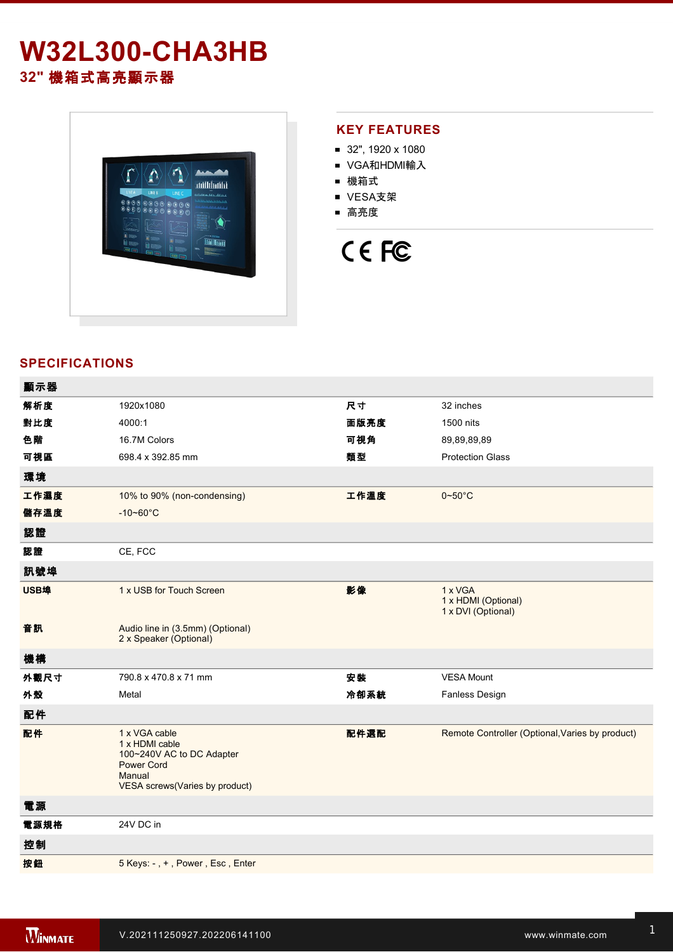# **W32L300-CHA3HB 32"** 機箱式高亮顯示器



#### **KEY FEATURES**

- 32", 1920 x 1080
- VGA和HDMI輸入
- 機箱式
- VESA支架
- 高亮度

# CE FC

### **SPECIFICATIONS**

| 1920x1080                                                                                                                     | 尺寸   | 32 inches                                            |
|-------------------------------------------------------------------------------------------------------------------------------|------|------------------------------------------------------|
| 4000:1                                                                                                                        | 面版亮度 | 1500 nits                                            |
| 16.7M Colors                                                                                                                  | 可視角  | 89,89,89,89                                          |
| 698.4 x 392.85 mm                                                                                                             | 類型   | <b>Protection Glass</b>                              |
|                                                                                                                               |      |                                                      |
| 10% to 90% (non-condensing)                                                                                                   | 工作溫度 | $0 - 50$ °C                                          |
| $-10 - 60^{\circ}$ C                                                                                                          |      |                                                      |
|                                                                                                                               |      |                                                      |
| CE, FCC                                                                                                                       |      |                                                      |
|                                                                                                                               |      |                                                      |
| 1 x USB for Touch Screen                                                                                                      | 影像   | 1 x VGA<br>1 x HDMI (Optional)<br>1 x DVI (Optional) |
| Audio line in (3.5mm) (Optional)<br>2 x Speaker (Optional)                                                                    |      |                                                      |
|                                                                                                                               |      |                                                      |
| 790.8 x 470.8 x 71 mm                                                                                                         | 安装   | <b>VESA Mount</b>                                    |
| Metal                                                                                                                         | 冷卻系統 | Fanless Design                                       |
|                                                                                                                               |      |                                                      |
| 1 x VGA cable<br>1 x HDMI cable<br>100~240V AC to DC Adapter<br><b>Power Cord</b><br>Manual<br>VESA screws(Varies by product) | 配件選配 | Remote Controller (Optional, Varies by product)      |
|                                                                                                                               |      |                                                      |
| 24V DC in                                                                                                                     |      |                                                      |
|                                                                                                                               |      |                                                      |
|                                                                                                                               |      |                                                      |
|                                                                                                                               |      |                                                      |